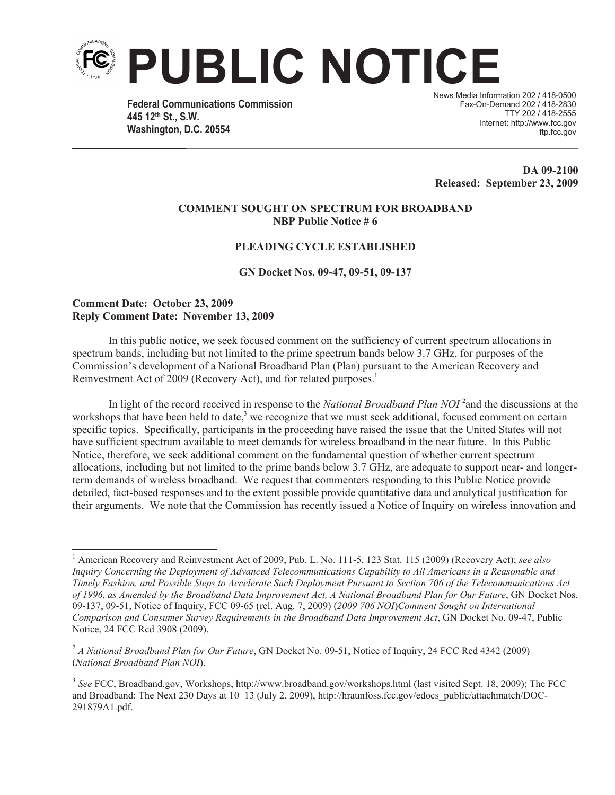

**Federal Communications Commission 445 12th St., S.W. Washington, D.C. 20554**

News Media Information 202 / 418-0500 Fax-On-Demand 202 / 418-2830 TTY 202 / 418-2555 Internet: http://www.fcc.gov ftp.fcc.gov

**DA 09-2100 Released: September 23, 2009**

#### **COMMENT SOUGHT ON SPECTRUM FOR BROADBAND NBP Public Notice # 6**

### **PLEADING CYCLE ESTABLISHED**

**GN Docket Nos. 09-47, 09-51, 09-137** 

### **Comment Date: October 23, 2009 Reply Comment Date: November 13, 2009**

In this public notice, we seek focused comment on the sufficiency of current spectrum allocations in spectrum bands, including but not limited to the prime spectrum bands below 3.7 GHz, for purposes of the Commission's development of a National Broadband Plan (Plan) pursuant to the American Recovery and Reinvestment Act of 2009 (Recovery Act), and for related purposes.<sup>1</sup>

In light of the record received in response to the *National Broadband Plan NOI*<sup>2</sup> and the discussions at the workshops that have been held to date,<sup>3</sup> we recognize that we must seek additional, focused comment on certain specific topics. Specifically, participants in the proceeding have raised the issue that the United States will not have sufficient spectrum available to meet demands for wireless broadband in the near future. In this Public Notice, therefore, we seek additional comment on the fundamental question of whether current spectrum allocations, including but not limited to the prime bands below 3.7 GHz, are adequate to support near- and longerterm demands of wireless broadband. We request that commenters responding to this Public Notice provide detailed, fact-based responses and to the extent possible provide quantitative data and analytical justification for their arguments. We note that the Commission has recently issued a Notice of Inquiry on wireless innovation and

<sup>1</sup> American Recovery and Reinvestment Act of 2009, Pub. L. No. 111-5, 123 Stat. 115 (2009) (Recovery Act); *see also Inquiry Concerning the Deployment of Advanced Telecommunications Capability to All Americans in a Reasonable and Timely Fashion, and Possible Steps to Accelerate Such Deployment Pursuant to Section 706 of the Telecommunications Act of 1996, as Amended by the Broadband Data Improvement Act, A National Broadband Plan for Our Future*, GN Docket Nos. 09-137, 09-51, Notice of Inquiry, FCC 09-65 (rel. Aug. 7, 2009) (*2009 706 NOI*)*Comment Sought on International Comparison and Consumer Survey Requirements in the Broadband Data Improvement Act*, GN Docket No. 09-47, Public Notice, 24 FCC Rcd 3908 (2009).

<sup>&</sup>lt;sup>2</sup> *A National Broadband Plan for Our Future*, GN Docket No. 09-51, Notice of Inquiry, 24 FCC Rcd 4342 (2009) (*National Broadband Plan NOI*).

<sup>&</sup>lt;sup>3</sup> See FCC, Broadband.gov, Workshops, http://www.broadband.gov/workshops.html (last visited Sept. 18, 2009); The FCC and Broadband: The Next 230 Days at 10-13 (July 2, 2009), http://hraunfoss.fcc.gov/edocs\_public/attachmatch/DOC-291879A1.pdf.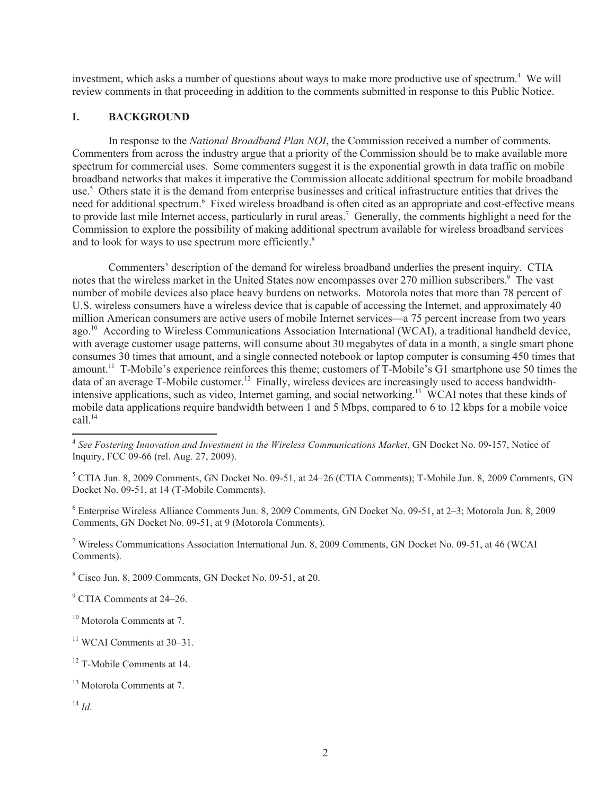investment, which asks a number of questions about ways to make more productive use of spectrum.<sup>4</sup> We will review comments in that proceeding in addition to the comments submitted in response to this Public Notice.

## **I. BACKGROUND**

In response to the *National Broadband Plan NOI*, the Commission received a number of comments. Commenters from across the industry argue that a priority of the Commission should be to make available more spectrum for commercial uses. Some commenters suggest it is the exponential growth in data traffic on mobile broadband networks that makes it imperative the Commission allocate additional spectrum for mobile broadband use.<sup>5</sup> Others state it is the demand from enterprise businesses and critical infrastructure entities that drives the need for additional spectrum.<sup>6</sup> Fixed wireless broadband is often cited as an appropriate and cost-effective means to provide last mile Internet access, particularly in rural areas.<sup>7</sup> Generally, the comments highlight a need for the Commission to explore the possibility of making additional spectrum available for wireless broadband services and to look for ways to use spectrum more efficiently.<sup>8</sup>

Commenters' description of the demand for wireless broadband underlies the present inquiry. CTIA notes that the wireless market in the United States now encompasses over 270 million subscribers.<sup>9</sup> The vast number of mobile devices also place heavy burdens on networks. Motorola notes that more than 78 percent of U.S. wireless consumers have a wireless device that is capable of accessing the Internet, and approximately 40 million American consumers are active users of mobile Internet services—a 75 percent increase from two years ago. <sup>10</sup> According to Wireless Communications Association International (WCAI), a traditional handheld device, with average customer usage patterns, will consume about 30 megabytes of data in a month, a single smart phone consumes 30 times that amount, and a single connected notebook or laptop computer is consuming 450 times that amount.<sup>11</sup> T-Mobile's experience reinforces this theme; customers of T-Mobile's G1 smartphone use 50 times the data of an average T-Mobile customer.<sup>12</sup> Finally, wireless devices are increasingly used to access bandwidthintensive applications, such as video, Internet gaming, and social networking.<sup>13</sup> WCAI notes that these kinds of mobile data applications require bandwidth between 1 and 5 Mbps, compared to 6 to 12 kbps for a mobile voice call.<sup>14</sup>

<sup>6</sup> Enterprise Wireless Alliance Comments Jun. 8, 2009 Comments, GN Docket No. 09-51, at 2–3; Motorola Jun. 8, 2009 Comments, GN Docket No. 09-51, at 9 (Motorola Comments).

<sup>7</sup> Wireless Communications Association International Jun. 8, 2009 Comments, GN Docket No. 09-51, at 46 (WCAI Comments).

<sup>8</sup> Cisco Jun. 8, 2009 Comments, GN Docket No. 09-51, at 20.

<sup>14</sup> *Id*.

<sup>4</sup> *See Fostering Innovation and Investment in the Wireless Communications Market*, GN Docket No. 09-157, Notice of Inquiry, FCC 09-66 (rel. Aug. 27, 2009).

<sup>&</sup>lt;sup>5</sup> CTIA Jun. 8, 2009 Comments, GN Docket No. 09-51, at 24–26 (CTIA Comments); T-Mobile Jun. 8, 2009 Comments, GN Docket No. 09-51, at 14 (T-Mobile Comments).

<sup>&</sup>lt;sup>9</sup> CTIA Comments at 24–26.

<sup>&</sup>lt;sup>10</sup> Motorola Comments at 7.

<sup>&</sup>lt;sup>11</sup> WCAI Comments at 30–31.

<sup>&</sup>lt;sup>12</sup> T-Mobile Comments at 14.

<sup>13</sup> Motorola Comments at 7.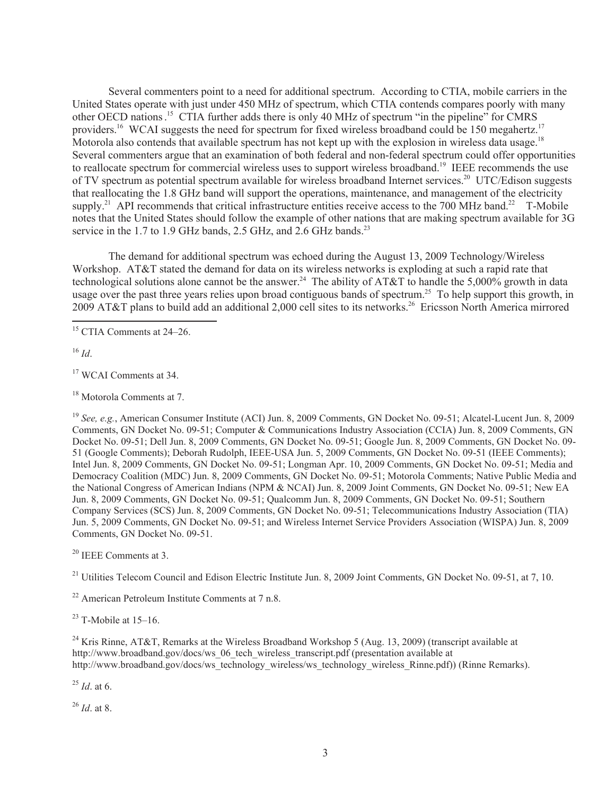Several commenters point to a need for additional spectrum. According to CTIA, mobile carriers in the United States operate with just under 450 MHz of spectrum, which CTIA contends compares poorly with many other OECD nations. <sup>15</sup> CTIA further adds there is only 40 MHz of spectrum "in the pipeline" for CMRS providers.<sup>16</sup> WCAI suggests the need for spectrum for fixed wireless broadband could be 150 megahertz.<sup>17</sup> Motorola also contends that available spectrum has not kept up with the explosion in wireless data usage.<sup>18</sup> Several commenters argue that an examination of both federal and non-federal spectrum could offer opportunities to reallocate spectrum for commercial wireless uses to support wireless broadband.<sup>19</sup> IEEE recommends the use of TV spectrum as potential spectrum available for wireless broadband Internet services.<sup>20</sup> UTC/Edison suggests that reallocating the 1.8 GHz band will support the operations, maintenance, and management of the electricity supply.<sup>21</sup> API recommends that critical infrastructure entities receive access to the 700 MHz band.<sup>22</sup> T-Mobile notes that the United States should follow the example of other nations that are making spectrum available for 3G service in the 1.7 to 1.9 GHz bands, 2.5 GHz, and 2.6 GHz bands.<sup>23</sup>

The demand for additional spectrum was echoed during the August 13, 2009 Technology/Wireless Workshop. AT&T stated the demand for data on its wireless networks is exploding at such a rapid rate that technological solutions alone cannot be the answer.<sup>24</sup> The ability of AT&T to handle the 5,000% growth in data usage over the past three years relies upon broad contiguous bands of spectrum.<sup>25</sup> To help support this growth, in 2009 AT&T plans to build add an additional 2,000 cell sites to its networks.<sup>26</sup> Ericsson North America mirrored

 $^{16}$  *Id*.

<sup>17</sup> WCAI Comments at 34.

<sup>18</sup> Motorola Comments at 7.

<sup>19</sup> *See, e.g.*, American Consumer Institute (ACI) Jun. 8, 2009 Comments, GN Docket No. 09-51; Alcatel-Lucent Jun. 8, 2009 Comments, GN Docket No. 09-51; Computer & Communications Industry Association (CCIA) Jun. 8, 2009 Comments, GN Docket No. 09-51; Dell Jun. 8, 2009 Comments, GN Docket No. 09-51; Google Jun. 8, 2009 Comments, GN Docket No. 09- 51 (Google Comments); Deborah Rudolph, IEEE-USA Jun. 5, 2009 Comments, GN Docket No. 09-51 (IEEE Comments); Intel Jun. 8, 2009 Comments, GN Docket No. 09-51; Longman Apr. 10, 2009 Comments, GN Docket No. 09-51; Media and Democracy Coalition (MDC) Jun. 8, 2009 Comments, GN Docket No. 09-51; Motorola Comments; Native Public Media and the National Congress of American Indians (NPM & NCAI) Jun. 8, 2009 Joint Comments, GN Docket No. 09-51; New EA Jun. 8, 2009 Comments, GN Docket No. 09-51; Qualcomm Jun. 8, 2009 Comments, GN Docket No. 09-51; Southern Company Services (SCS) Jun. 8, 2009 Comments, GN Docket No. 09-51; Telecommunications Industry Association (TIA) Jun. 5, 2009 Comments, GN Docket No. 09-51; and Wireless Internet Service Providers Association (WISPA) Jun. 8, 2009 Comments, GN Docket No. 09-51.

<sup>20</sup> IEEE Comments at 3.

<sup>21</sup> Utilities Telecom Council and Edison Electric Institute Jun. 8, 2009 Joint Comments, GN Docket No. 09-51, at 7, 10.

 $22$  American Petroleum Institute Comments at 7 n.8.

 $23$  T-Mobile at 15–16.

<sup>24</sup> Kris Rinne, AT&T, Remarks at the Wireless Broadband Workshop 5 (Aug. 13, 2009) (transcript available at http://www.broadband.gov/docs/ws\_06\_tech\_wireless\_transcript.pdf (presentation available at http://www.broadband.gov/docs/ws\_technology\_wireless/ws\_technology\_wireless\_Rinne.pdf)) (Rinne Remarks).

<sup>25</sup> *Id*. at 6.

<sup>26</sup> *Id*. at 8.

<sup>&</sup>lt;sup>15</sup> CTIA Comments at 24–26.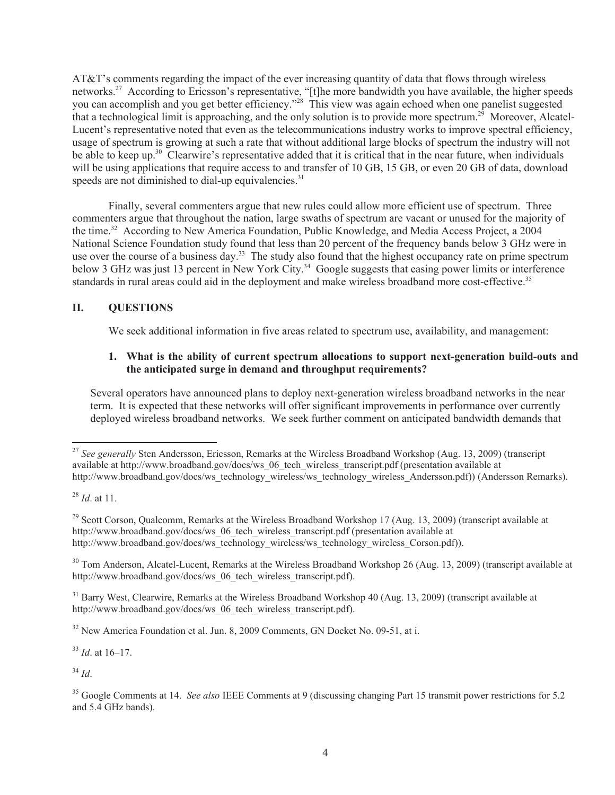AT&T's comments regarding the impact of the ever increasing quantity of data that flows through wireless networks.<sup>27</sup> According to Ericsson's representative, "[t]he more bandwidth you have available, the higher speeds you can accomplish and you get better efficiency."<sup>28</sup> This view was again echoed when one panelist suggested that a technological limit is approaching, and the only solution is to provide more spectrum.<sup>29</sup> Moreover, Alcatel-Lucent's representative noted that even as the telecommunications industry works to improve spectral efficiency, usage of spectrum is growing at such a rate that without additional large blocks of spectrum the industry will not be able to keep up.<sup>30</sup> Clearwire's representative added that it is critical that in the near future, when individuals will be using applications that require access to and transfer of 10 GB, 15 GB, or even 20 GB of data, download speeds are not diminished to dial-up equivalencies. $31$ 

Finally, several commenters argue that new rules could allow more efficient use of spectrum. Three commenters argue that throughout the nation, large swaths of spectrum are vacant or unused for the majority of the time.<sup>32</sup> According to New America Foundation, Public Knowledge, and Media Access Project, a 2004 National Science Foundation study found that less than 20 percent of the frequency bands below 3 GHz were in use over the course of a business day.<sup>33</sup> The study also found that the highest occupancy rate on prime spectrum below 3 GHz was just 13 percent in New York City.<sup>34</sup> Google suggests that easing power limits or interference standards in rural areas could aid in the deployment and make wireless broadband more cost-effective.<sup>35</sup>

## **II. QUESTIONS**

We seek additional information in five areas related to spectrum use, availability, and management:

### **1. What is the ability of current spectrum allocations to support next-generation build-outs and the anticipated surge in demand and throughput requirements?**

Several operators have announced plans to deploy next-generation wireless broadband networks in the near term. It is expected that these networks will offer significant improvements in performance over currently deployed wireless broadband networks. We seek further comment on anticipated bandwidth demands that

 $^{29}$  Scott Corson, Qualcomm, Remarks at the Wireless Broadband Workshop 17 (Aug. 13, 2009) (transcript available at http://www.broadband.gov/docs/ws\_06\_tech\_wireless\_transcript.pdf (presentation available at http://www.broadband.gov/docs/ws\_technology\_wireless/ws\_technology\_wireless\_Corson.pdf)).

<sup>30</sup> Tom Anderson, Alcatel-Lucent, Remarks at the Wireless Broadband Workshop 26 (Aug. 13, 2009) (transcript available at http://www.broadband.gov/docs/ws\_06\_tech\_wireless\_transcript.pdf).

<sup>31</sup> Barry West, Clearwire, Remarks at the Wireless Broadband Workshop 40 (Aug. 13, 2009) (transcript available at http://www.broadband.gov/docs/ws\_06\_tech\_wireless\_transcript.pdf).

<sup>32</sup> New America Foundation et al. Jun. 8, 2009 Comments, GN Docket No. 09-51, at i.

<sup>33</sup> *Id*. at 16–17.

 $34$  *Id.* 

<sup>27</sup> *See generally* Sten Andersson, Ericsson, Remarks at the Wireless Broadband Workshop (Aug. 13, 2009) (transcript available at http://www.broadband.gov/docs/ws\_06\_tech\_wireless\_transcript.pdf (presentation available at http://www.broadband.gov/docs/ws\_technology\_wireless/ws\_technology\_wireless\_Andersson.pdf)) (Andersson Remarks).

<sup>28</sup> *Id*. at 11.

<sup>35</sup> Google Comments at 14. *See also* IEEE Comments at 9 (discussing changing Part 15 transmit power restrictions for 5.2 and 5.4 GHz bands).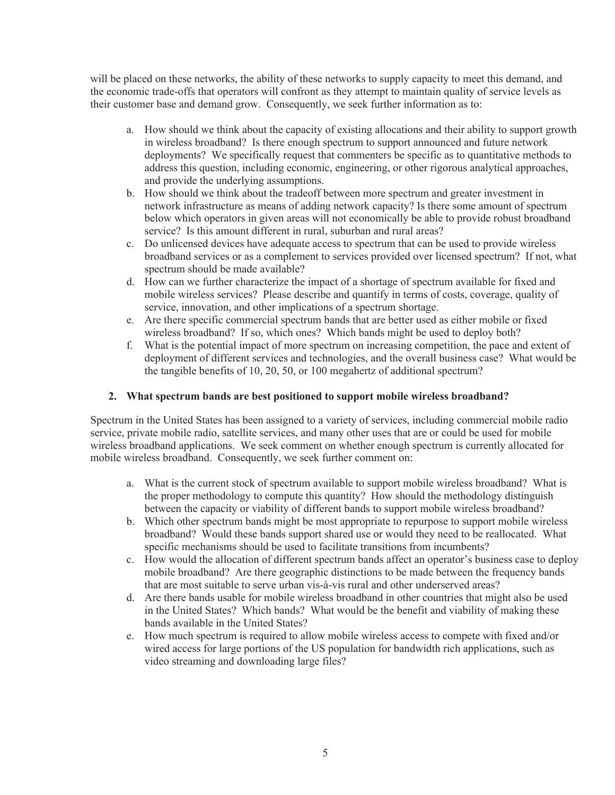will be placed on these networks, the ability of these networks to supply capacity to meet this demand, and the economic trade-offs that operators will confront as they attempt to maintain quality of service levels as their customer base and demand grow. Consequently, we seek further information as to:

- a. How should we think about the capacity of existing allocations and their ability to support growth in wireless broadband? Is there enough spectrum to support announced and future network deployments? We specifically request that commenters be specific as to quantitative methods to address this question, including economic, engineering, or other rigorous analytical approaches, and provide the underlying assumptions.
- b. How should we think about the tradeoff between more spectrum and greater investment in network infrastructure as means of adding network capacity? Is there some amount of spectrum below which operators in given areas will not economically be able to provide robust broadband service? Is this amount different in rural, suburban and rural areas?
- c. Do unlicensed devices have adequate access to spectrum that can be used to provide wireless broadband services or as a complement to services provided over licensed spectrum? If not, what spectrum should be made available?
- d. How can we further characterize the impact of a shortage of spectrum available for fixed and mobile wireless services? Please describe and quantify in terms of costs, coverage, quality of service, innovation, and other implications of a spectrum shortage.
- e. Are there specific commercial spectrum bands that are better used as either mobile or fixed wireless broadband? If so, which ones? Which bands might be used to deploy both?
- f. What is the potential impact of more spectrum on increasing competition, the pace and extent of deployment of different services and technologies, and the overall business case? What would be the tangible benefits of 10, 20, 50, or 100 megahertz of additional spectrum?

# **2. What spectrum bands are best positioned to support mobile wireless broadband?**

Spectrum in the United States has been assigned to a variety of services, including commercial mobile radio service, private mobile radio, satellite services, and many other uses that are or could be used for mobile wireless broadband applications. We seek comment on whether enough spectrum is currently allocated for mobile wireless broadband. Consequently, we seek further comment on:

- a. What is the current stock of spectrum available to support mobile wireless broadband? What is the proper methodology to compute this quantity? How should the methodology distinguish between the capacity or viability of different bands to support mobile wireless broadband?
- b. Which other spectrum bands might be most appropriate to repurpose to support mobile wireless broadband? Would these bands support shared use or would they need to be reallocated. What specific mechanisms should be used to facilitate transitions from incumbents?
- c. How would the allocation of different spectrum bands affect an operator's business case to deploy mobile broadband? Are there geographic distinctions to be made between the frequency bands that are most suitable to serve urban vis-à-vis rural and other underserved areas?
- d. Are there bands usable for mobile wireless broadband in other countries that might also be used in the United States? Which bands? What would be the benefit and viability of making these bands available in the United States?
- e. How much spectrum is required to allow mobile wireless access to compete with fixed and/or wired access for large portions of the US population for bandwidth rich applications, such as video streaming and downloading large files?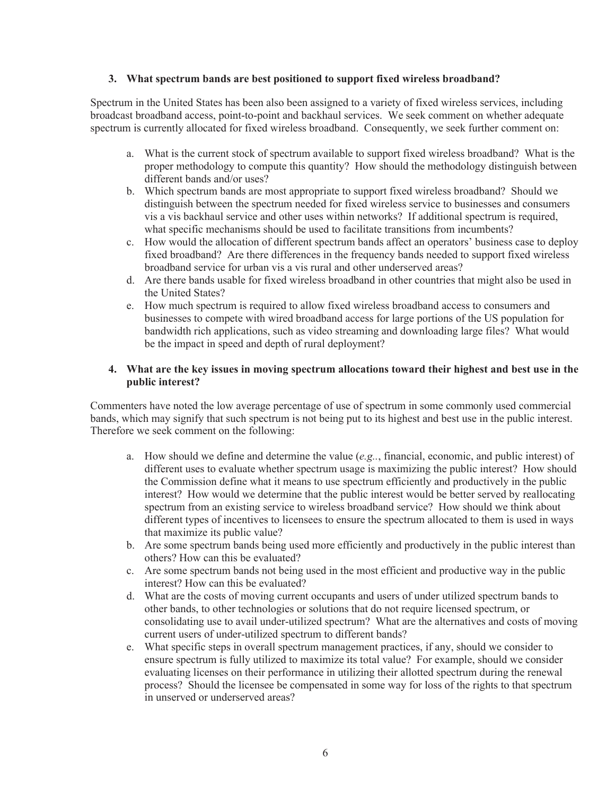### **3. What spectrum bands are best positioned to support fixed wireless broadband?**

Spectrum in the United States has been also been assigned to a variety of fixed wireless services, including broadcast broadband access, point-to-point and backhaul services. We seek comment on whether adequate spectrum is currently allocated for fixed wireless broadband. Consequently, we seek further comment on:

- a. What is the current stock of spectrum available to support fixed wireless broadband? What is the proper methodology to compute this quantity? How should the methodology distinguish between different bands and/or uses?
- b. Which spectrum bands are most appropriate to support fixed wireless broadband? Should we distinguish between the spectrum needed for fixed wireless service to businesses and consumers vis a vis backhaul service and other uses within networks? If additional spectrum is required, what specific mechanisms should be used to facilitate transitions from incumbents?
- c. How would the allocation of different spectrum bands affect an operators' business case to deploy fixed broadband? Are there differences in the frequency bands needed to support fixed wireless broadband service for urban vis a vis rural and other underserved areas?
- d. Are there bands usable for fixed wireless broadband in other countries that might also be used in the United States?
- e. How much spectrum is required to allow fixed wireless broadband access to consumers and businesses to compete with wired broadband access for large portions of the US population for bandwidth rich applications, such as video streaming and downloading large files? What would be the impact in speed and depth of rural deployment?

## **4. What are the key issues in moving spectrum allocations toward their highest and best use in the public interest?**

Commenters have noted the low average percentage of use of spectrum in some commonly used commercial bands, which may signify that such spectrum is not being put to its highest and best use in the public interest. Therefore we seek comment on the following:

- a. How should we define and determine the value (*e.g..*, financial, economic, and public interest) of different uses to evaluate whether spectrum usage is maximizing the public interest? How should the Commission define what it means to use spectrum efficiently and productively in the public interest? How would we determine that the public interest would be better served by reallocating spectrum from an existing service to wireless broadband service? How should we think about different types of incentives to licensees to ensure the spectrum allocated to them is used in ways that maximize its public value?
- b. Are some spectrum bands being used more efficiently and productively in the public interest than others? How can this be evaluated?
- c. Are some spectrum bands not being used in the most efficient and productive way in the public interest? How can this be evaluated?
- d. What are the costs of moving current occupants and users of under utilized spectrum bands to other bands, to other technologies or solutions that do not require licensed spectrum, or consolidating use to avail under-utilized spectrum? What are the alternatives and costs of moving current users of under-utilized spectrum to different bands?
- e. What specific steps in overall spectrum management practices, if any, should we consider to ensure spectrum is fully utilized to maximize its total value? For example, should we consider evaluating licenses on their performance in utilizing their allotted spectrum during the renewal process? Should the licensee be compensated in some way for loss of the rights to that spectrum in unserved or underserved areas?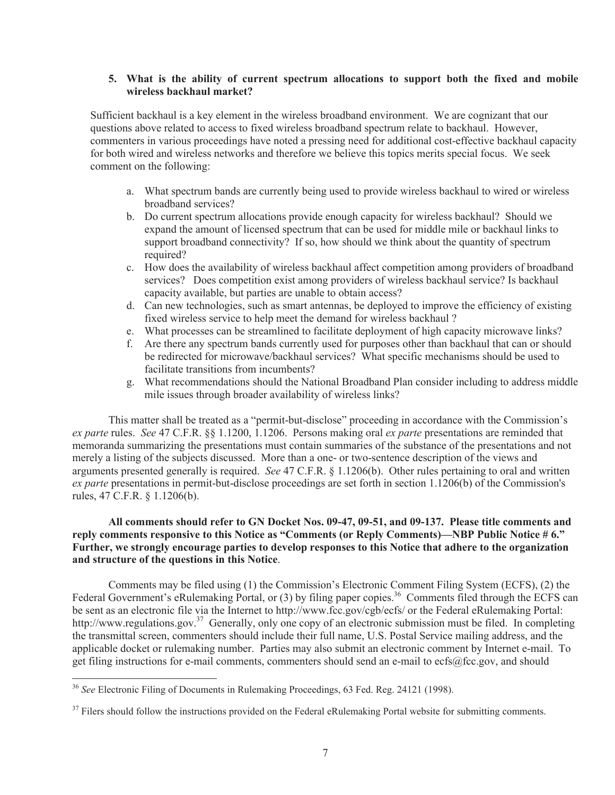### **5. What is the ability of current spectrum allocations to support both the fixed and mobile wireless backhaul market?**

Sufficient backhaul is a key element in the wireless broadband environment. We are cognizant that our questions above related to access to fixed wireless broadband spectrum relate to backhaul. However, commenters in various proceedings have noted a pressing need for additional cost-effective backhaul capacity for both wired and wireless networks and therefore we believe this topics merits special focus. We seek comment on the following:

- a. What spectrum bands are currently being used to provide wireless backhaul to wired or wireless broadband services?
- b. Do current spectrum allocations provide enough capacity for wireless backhaul? Should we expand the amount of licensed spectrum that can be used for middle mile or backhaul links to support broadband connectivity? If so, how should we think about the quantity of spectrum required?
- c. How does the availability of wireless backhaul affect competition among providers of broadband services? Does competition exist among providers of wireless backhaul service? Is backhaul capacity available, but parties are unable to obtain access?
- d. Can new technologies, such as smart antennas, be deployed to improve the efficiency of existing fixed wireless service to help meet the demand for wireless backhaul ?
- e. What processes can be streamlined to facilitate deployment of high capacity microwave links?
- f. Are there any spectrum bands currently used for purposes other than backhaul that can or should be redirected for microwave/backhaul services? What specific mechanisms should be used to facilitate transitions from incumbents?
- g. What recommendations should the National Broadband Plan consider including to address middle mile issues through broader availability of wireless links?

This matter shall be treated as a "permit-but-disclose" proceeding in accordance with the Commission's *ex parte* rules. *See* 47 C.F.R. §§ 1.1200, 1.1206. Persons making oral *ex parte* presentations are reminded that memoranda summarizing the presentations must contain summaries of the substance of the presentations and not merely a listing of the subjects discussed. More than a one- or two-sentence description of the views and arguments presented generally is required. *See* 47 C.F.R. § 1.1206(b). Other rules pertaining to oral and written *ex parte* presentations in permit-but-disclose proceedings are set forth in section 1.1206(b) of the Commission's rules, 47 C.F.R. § 1.1206(b).

### **All comments should refer to GN Docket Nos. 09-47, 09-51, and 09-137. Please title comments and reply comments responsive to this Notice as "Comments (or Reply Comments)—NBP Public Notice # 6." Further, we strongly encourage parties to develop responses to this Notice that adhere to the organization and structure of the questions in this Notice**.

Comments may be filed using (1) the Commission's Electronic Comment Filing System (ECFS), (2) the Federal Government's eRulemaking Portal, or (3) by filing paper copies.<sup>36</sup> Comments filed through the ECFS can be sent as an electronic file via the Internet to http://www.fcc.gov/cgb/ecfs/ or the Federal eRulemaking Portal: http://www.regulations.gov.<sup>37</sup> Generally, only one copy of an electronic submission must be filed. In completing the transmittal screen, commenters should include their full name, U.S. Postal Service mailing address, and the applicable docket or rulemaking number. Parties may also submit an electronic comment by Internet e-mail. To get filing instructions for e-mail comments, commenters should send an e-mail to ecfs@fcc.gov, and should

<sup>36</sup> *See* Electronic Filing of Documents in Rulemaking Proceedings, 63 Fed. Reg. 24121 (1998).

 $37$  Filers should follow the instructions provided on the Federal eRulemaking Portal website for submitting comments.